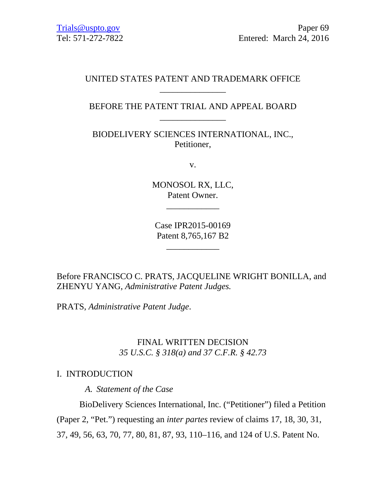### UNITED STATES PATENT AND TRADEMARK OFFICE \_\_\_\_\_\_\_\_\_\_\_\_\_\_\_

## BEFORE THE PATENT TRIAL AND APPEAL BOARD \_\_\_\_\_\_\_\_\_\_\_\_\_\_\_

BIODELIVERY SCIENCES INTERNATIONAL, INC., Petitioner,

v.

MONOSOL RX, LLC, Patent Owner.

\_\_\_\_\_\_\_\_\_\_\_\_

Case IPR2015-00169 Patent 8,765,167 B2

\_\_\_\_\_\_\_\_\_\_\_\_

Before FRANCISCO C. PRATS, JACQUELINE WRIGHT BONILLA, and ZHENYU YANG, *Administrative Patent Judges.* 

PRATS, *Administrative Patent Judge*.

# FINAL WRITTEN DECISION *35 U.S.C. § 318(a) and 37 C.F.R. § 42.73*

### I. INTRODUCTION

*A. Statement of the Case* 

BioDelivery Sciences International, Inc. ("Petitioner") filed a Petition (Paper 2, "Pet.") requesting an *inter partes* review of claims 17, 18, 30, 31, 37, 49, 56, 63, 70, 77, 80, 81, 87, 93, 110–116, and 124 of U.S. Patent No.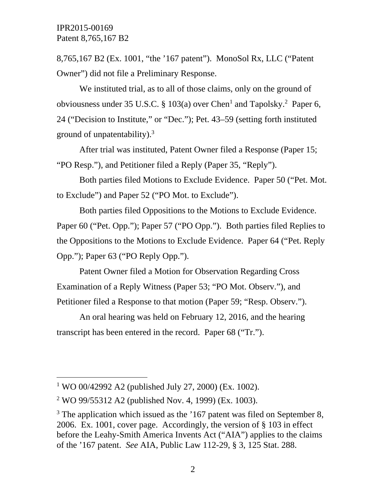8,765,167 B2 (Ex. 1001, "the '167 patent"). MonoSol Rx, LLC ("Patent Owner") did not file a Preliminary Response.

We instituted trial, as to all of those claims, only on the ground of obviousness under 35 U.S.C. § 103(a) over Chen<sup>1</sup> and Tapolsky.<sup>2</sup> Paper 6, 24 ("Decision to Institute," or "Dec."); Pet. 43–59 (setting forth instituted ground of unpatentability). $3$ 

After trial was instituted, Patent Owner filed a Response (Paper 15; "PO Resp."), and Petitioner filed a Reply (Paper 35, "Reply").

Both parties filed Motions to Exclude Evidence. Paper 50 ("Pet. Mot. to Exclude") and Paper 52 ("PO Mot. to Exclude").

Both parties filed Oppositions to the Motions to Exclude Evidence. Paper 60 ("Pet. Opp."); Paper 57 ("PO Opp."). Both parties filed Replies to the Oppositions to the Motions to Exclude Evidence. Paper 64 ("Pet. Reply Opp."); Paper 63 ("PO Reply Opp.").

Patent Owner filed a Motion for Observation Regarding Cross Examination of a Reply Witness (Paper 53; "PO Mot. Observ."), and Petitioner filed a Response to that motion (Paper 59; "Resp. Observ.").

An oral hearing was held on February 12, 2016, and the hearing transcript has been entered in the record. Paper 68 ("Tr.").

 $\overline{a}$ 

<sup>&</sup>lt;sup>1</sup> WO 00/42992 A2 (published July 27, 2000) (Ex. 1002).

<sup>&</sup>lt;sup>2</sup> WO 99/55312 A2 (published Nov. 4, 1999) (Ex. 1003).

 $3$  The application which issued as the  $167$  patent was filed on September 8, 2006. Ex. 1001, cover page. Accordingly, the version of § 103 in effect before the Leahy-Smith America Invents Act ("AIA") applies to the claims of the '167 patent. *See* AIA, Public Law 112-29, § 3, 125 Stat. 288.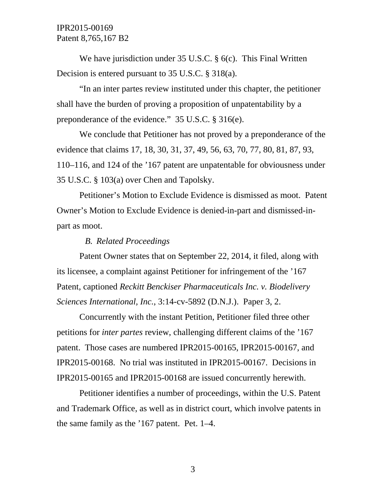We have jurisdiction under 35 U.S.C. § 6(c). This Final Written Decision is entered pursuant to 35 U.S.C. § 318(a).

"In an inter partes review instituted under this chapter, the petitioner shall have the burden of proving a proposition of unpatentability by a preponderance of the evidence." 35 U.S.C. § 316(e).

We conclude that Petitioner has not proved by a preponderance of the evidence that claims 17, 18, 30, 31, 37, 49, 56, 63, 70, 77, 80, 81, 87, 93, 110–116, and 124 of the '167 patent are unpatentable for obviousness under 35 U.S.C. § 103(a) over Chen and Tapolsky.

Petitioner's Motion to Exclude Evidence is dismissed as moot. Patent Owner's Motion to Exclude Evidence is denied-in-part and dismissed-inpart as moot.

### *B. Related Proceedings*

Patent Owner states that on September 22, 2014, it filed, along with its licensee, a complaint against Petitioner for infringement of the '167 Patent, captioned *Reckitt Benckiser Pharmaceuticals Inc. v. Biodelivery Sciences International, Inc.*, 3:14-cv-5892 (D.N.J.). Paper 3, 2.

Concurrently with the instant Petition, Petitioner filed three other petitions for *inter partes* review, challenging different claims of the '167 patent. Those cases are numbered IPR2015-00165, IPR2015-00167, and IPR2015-00168. No trial was instituted in IPR2015-00167. Decisions in IPR2015-00165 and IPR2015-00168 are issued concurrently herewith.

Petitioner identifies a number of proceedings, within the U.S. Patent and Trademark Office, as well as in district court, which involve patents in the same family as the '167 patent. Pet. 1–4.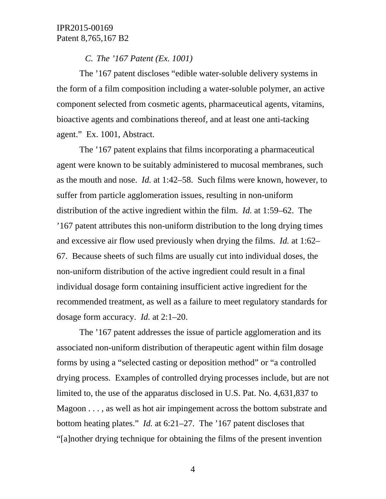#### *C. The '167 Patent (Ex. 1001)*

The '167 patent discloses "edible water-soluble delivery systems in the form of a film composition including a water-soluble polymer, an active component selected from cosmetic agents, pharmaceutical agents, vitamins, bioactive agents and combinations thereof, and at least one anti-tacking agent." Ex. 1001, Abstract.

The '167 patent explains that films incorporating a pharmaceutical agent were known to be suitably administered to mucosal membranes, such as the mouth and nose. *Id.* at 1:42–58. Such films were known, however, to suffer from particle agglomeration issues, resulting in non-uniform distribution of the active ingredient within the film. *Id.* at 1:59–62. The '167 patent attributes this non-uniform distribution to the long drying times and excessive air flow used previously when drying the films. *Id.* at 1:62– 67. Because sheets of such films are usually cut into individual doses, the non-uniform distribution of the active ingredient could result in a final individual dosage form containing insufficient active ingredient for the recommended treatment, as well as a failure to meet regulatory standards for dosage form accuracy. *Id.* at 2:1–20.

The '167 patent addresses the issue of particle agglomeration and its associated non-uniform distribution of therapeutic agent within film dosage forms by using a "selected casting or deposition method" or "a controlled drying process. Examples of controlled drying processes include, but are not limited to, the use of the apparatus disclosed in U.S. Pat. No. 4,631,837 to Magoon . . . , as well as hot air impingement across the bottom substrate and bottom heating plates." *Id.* at 6:21–27. The '167 patent discloses that "[a]nother drying technique for obtaining the films of the present invention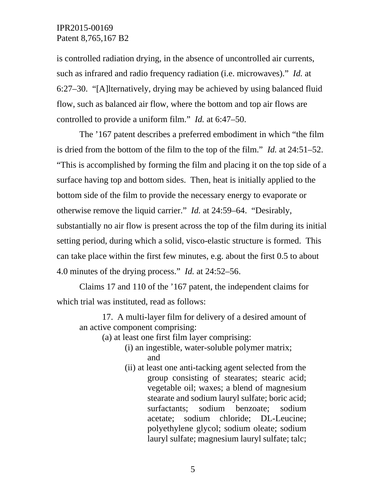is controlled radiation drying, in the absence of uncontrolled air currents, such as infrared and radio frequency radiation (i.e. microwaves)." *Id.* at 6:27–30. "[A]lternatively, drying may be achieved by using balanced fluid flow, such as balanced air flow, where the bottom and top air flows are controlled to provide a uniform film." *Id.* at 6:47–50.

The '167 patent describes a preferred embodiment in which "the film is dried from the bottom of the film to the top of the film." *Id.* at 24:51–52. "This is accomplished by forming the film and placing it on the top side of a surface having top and bottom sides. Then, heat is initially applied to the bottom side of the film to provide the necessary energy to evaporate or otherwise remove the liquid carrier." *Id.* at 24:59–64. "Desirably, substantially no air flow is present across the top of the film during its initial setting period, during which a solid, visco-elastic structure is formed. This can take place within the first few minutes, e.g. about the first 0.5 to about 4.0 minutes of the drying process." *Id.* at 24:52–56.

Claims 17 and 110 of the '167 patent, the independent claims for which trial was instituted, read as follows:

17. A multi-layer film for delivery of a desired amount of an active component comprising:

- (a) at least one first film layer comprising:
	- (i) an ingestible, water-soluble polymer matrix; and
	- (ii) at least one anti-tacking agent selected from the group consisting of stearates; stearic acid; vegetable oil; waxes; a blend of magnesium stearate and sodium lauryl sulfate; boric acid; surfactants; sodium benzoate; sodium acetate; sodium chloride; DL-Leucine; polyethylene glycol; sodium oleate; sodium lauryl sulfate; magnesium lauryl sulfate; talc;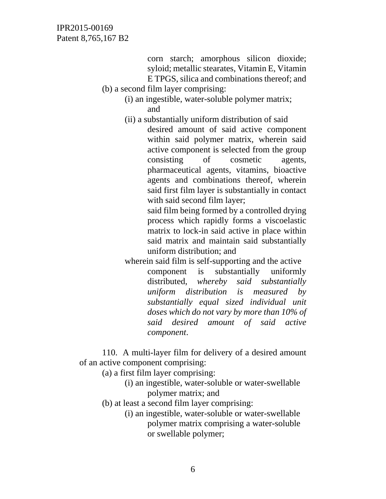corn starch; amorphous silicon dioxide; syloid; metallic stearates, Vitamin E, Vitamin E TPGS, silica and combinations thereof; and

- (b) a second film layer comprising:
	- (i) an ingestible, water-soluble polymer matrix; and
	- (ii) a substantially uniform distribution of said desired amount of said active component within said polymer matrix, wherein said active component is selected from the group consisting of cosmetic agents, pharmaceutical agents, vitamins, bioactive agents and combinations thereof, wherein said first film layer is substantially in contact with said second film layer;

said film being formed by a controlled drying process which rapidly forms a viscoelastic matrix to lock-in said active in place within said matrix and maintain said substantially uniform distribution; and

wherein said film is self-supporting and the active component is substantially uniformly distributed, *whereby said substantially uniform distribution is measured by substantially equal sized individual unit doses which do not vary by more than 10% of said desired amount of said active component*.

110. A multi-layer film for delivery of a desired amount of an active component comprising:

- (a) a first film layer comprising:
	- (i) an ingestible, water-soluble or water-swellable polymer matrix; and
- (b) at least a second film layer comprising:
	- (i) an ingestible, water-soluble or water-swellable polymer matrix comprising a water-soluble or swellable polymer;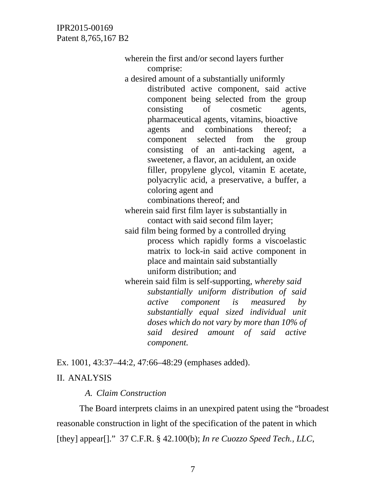> wherein the first and/or second layers further comprise: a desired amount of a substantially uniformly distributed active component, said active component being selected from the group consisting of cosmetic agents, pharmaceutical agents, vitamins, bioactive agents and combinations thereof; a component selected from the group consisting of an anti-tacking agent, a sweetener, a flavor, an acidulent, an oxide filler, propylene glycol, vitamin E acetate, polyacrylic acid, a preservative, a buffer, a coloring agent and combinations thereof; and wherein said first film layer is substantially in contact with said second film layer; said film being formed by a controlled drying process which rapidly forms a viscoelastic matrix to lock-in said active component in place and maintain said substantially uniform distribution; and wherein said film is self-supporting, *whereby said substantially uniform distribution of said active component is measured by substantially equal sized individual unit doses which do not vary by more than 10% of said desired amount of said active component.*

Ex. 1001, 43:37–44:2, 47:66–48:29 (emphases added). II. ANALYSIS

*A. Claim Construction* 

The Board interprets claims in an unexpired patent using the "broadest reasonable construction in light of the specification of the patent in which [they] appear[]." 37 C.F.R. § 42.100(b); *In re Cuozzo Speed Tech., LLC*,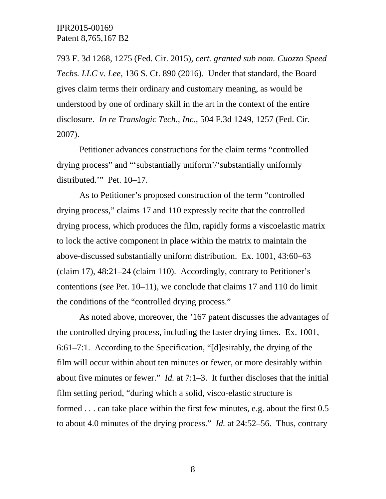793 F. 3d 1268, 1275 (Fed. Cir. 2015), *cert. granted sub nom. Cuozzo Speed Techs. LLC v. Lee*, 136 S. Ct. 890 (2016). Under that standard, the Board gives claim terms their ordinary and customary meaning, as would be understood by one of ordinary skill in the art in the context of the entire disclosure. *In re Translogic Tech., Inc.*, 504 F.3d 1249, 1257 (Fed. Cir. 2007).

 Petitioner advances constructions for the claim terms "controlled drying process" and "'substantially uniform'/'substantially uniformly distributed.'" Pet. 10–17.

As to Petitioner's proposed construction of the term "controlled drying process," claims 17 and 110 expressly recite that the controlled drying process, which produces the film, rapidly forms a viscoelastic matrix to lock the active component in place within the matrix to maintain the above-discussed substantially uniform distribution. Ex. 1001, 43:60–63 (claim 17), 48:21–24 (claim 110). Accordingly, contrary to Petitioner's contentions (*see* Pet. 10–11), we conclude that claims 17 and 110 do limit the conditions of the "controlled drying process."

 As noted above, moreover, the '167 patent discusses the advantages of the controlled drying process, including the faster drying times. Ex. 1001, 6:61–7:1. According to the Specification, "[d]esirably, the drying of the film will occur within about ten minutes or fewer, or more desirably within about five minutes or fewer." *Id.* at 7:1–3. It further discloses that the initial film setting period, "during which a solid, visco-elastic structure is formed . . . can take place within the first few minutes, e.g. about the first 0.5 to about 4.0 minutes of the drying process." *Id.* at 24:52–56. Thus, contrary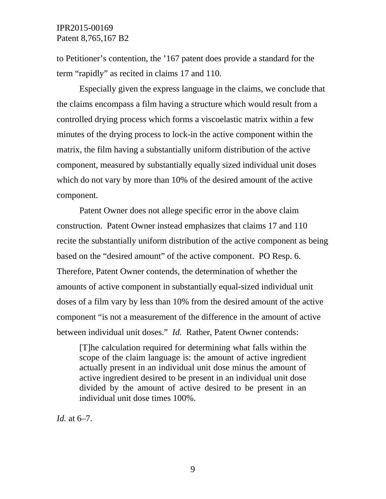to Petitioner's contention, the '167 patent does provide a standard for the term "rapidly" as recited in claims 17 and 110.

 Especially given the express language in the claims, we conclude that the claims encompass a film having a structure which would result from a controlled drying process which forms a viscoelastic matrix within a few minutes of the drying process to lock-in the active component within the matrix, the film having a substantially uniform distribution of the active component, measured by substantially equally sized individual unit doses which do not vary by more than 10% of the desired amount of the active component.

 Patent Owner does not allege specific error in the above claim construction. Patent Owner instead emphasizes that claims 17 and 110 recite the substantially uniform distribution of the active component as being based on the "desired amount" of the active component. PO Resp. 6. Therefore, Patent Owner contends, the determination of whether the amounts of active component in substantially equal-sized individual unit doses of a film vary by less than 10% from the desired amount of the active component "is not a measurement of the difference in the amount of active between individual unit doses." *Id.* Rather, Patent Owner contends:

[T]he calculation required for determining what falls within the scope of the claim language is: the amount of active ingredient actually present in an individual unit dose minus the amount of active ingredient desired to be present in an individual unit dose divided by the amount of active desired to be present in an individual unit dose times 100%.

*Id.* at 6–7.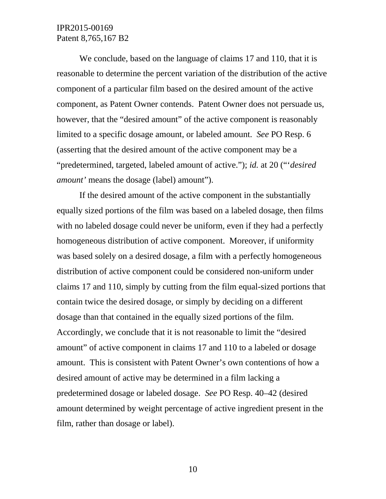We conclude, based on the language of claims 17 and 110, that it is reasonable to determine the percent variation of the distribution of the active component of a particular film based on the desired amount of the active component, as Patent Owner contends. Patent Owner does not persuade us, however, that the "desired amount" of the active component is reasonably limited to a specific dosage amount, or labeled amount. *See* PO Resp. 6 (asserting that the desired amount of the active component may be a "predetermined, targeted, labeled amount of active."); *id.* at 20 ("'*desired amount'* means the dosage (label) amount").

If the desired amount of the active component in the substantially equally sized portions of the film was based on a labeled dosage, then films with no labeled dosage could never be uniform, even if they had a perfectly homogeneous distribution of active component. Moreover, if uniformity was based solely on a desired dosage, a film with a perfectly homogeneous distribution of active component could be considered non-uniform under claims 17 and 110, simply by cutting from the film equal-sized portions that contain twice the desired dosage, or simply by deciding on a different dosage than that contained in the equally sized portions of the film. Accordingly, we conclude that it is not reasonable to limit the "desired amount" of active component in claims 17 and 110 to a labeled or dosage amount. This is consistent with Patent Owner's own contentions of how a desired amount of active may be determined in a film lacking a predetermined dosage or labeled dosage. *See* PO Resp. 40–42 (desired amount determined by weight percentage of active ingredient present in the film, rather than dosage or label).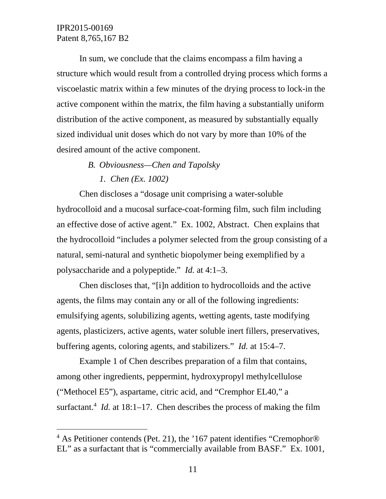$\overline{a}$ 

In sum, we conclude that the claims encompass a film having a structure which would result from a controlled drying process which forms a viscoelastic matrix within a few minutes of the drying process to lock-in the active component within the matrix, the film having a substantially uniform distribution of the active component, as measured by substantially equally sized individual unit doses which do not vary by more than 10% of the desired amount of the active component.

- *B. Obviousness—Chen and Tapolsky* 
	- *1. Chen (Ex. 1002)*

Chen discloses a "dosage unit comprising a water-soluble hydrocolloid and a mucosal surface-coat-forming film, such film including an effective dose of active agent." Ex. 1002, Abstract. Chen explains that the hydrocolloid "includes a polymer selected from the group consisting of a natural, semi-natural and synthetic biopolymer being exemplified by a polysaccharide and a polypeptide." *Id.* at 4:1–3.

Chen discloses that, "[i]n addition to hydrocolloids and the active agents, the films may contain any or all of the following ingredients: emulsifying agents, solubilizing agents, wetting agents, taste modifying agents, plasticizers, active agents, water soluble inert fillers, preservatives, buffering agents, coloring agents, and stabilizers." *Id.* at 15:4–7.

Example 1 of Chen describes preparation of a film that contains, among other ingredients, peppermint, hydroxypropyl methylcellulose ("Methocel E5"), aspartame, citric acid, and "Cremphor EL40," a surfactant.<sup>4</sup> *Id.* at 18:1–17. Chen describes the process of making the film

<sup>&</sup>lt;sup>4</sup> As Petitioner contends (Pet. 21), the '167 patent identifies "Cremophor® EL" as a surfactant that is "commercially available from BASF." Ex. 1001,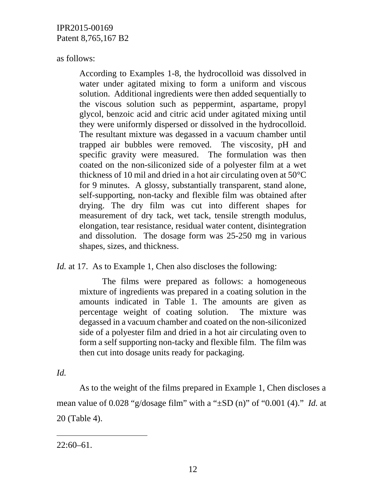as follows:

According to Examples 1-8, the hydrocolloid was dissolved in water under agitated mixing to form a uniform and viscous solution. Additional ingredients were then added sequentially to the viscous solution such as peppermint, aspartame, propyl glycol, benzoic acid and citric acid under agitated mixing until they were uniformly dispersed or dissolved in the hydrocolloid. The resultant mixture was degassed in a vacuum chamber until trapped air bubbles were removed. The viscosity, pH and specific gravity were measured. The formulation was then coated on the non-siliconized side of a polyester film at a wet thickness of 10 mil and dried in a hot air circulating oven at 50°C for 9 minutes. A glossy, substantially transparent, stand alone, self-supporting, non-tacky and flexible film was obtained after drying. The dry film was cut into different shapes for measurement of dry tack, wet tack, tensile strength modulus, elongation, tear resistance, residual water content, disintegration and dissolution. The dosage form was 25-250 mg in various shapes, sizes, and thickness.

*Id.* at 17. As to Example 1, Chen also discloses the following:

The films were prepared as follows: a homogeneous mixture of ingredients was prepared in a coating solution in the amounts indicated in Table 1. The amounts are given as percentage weight of coating solution. The mixture was degassed in a vacuum chamber and coated on the non-siliconized side of a polyester film and dried in a hot air circulating oven to form a self supporting non-tacky and flexible film. The film was then cut into dosage units ready for packaging.

*Id.*

-

As to the weight of the films prepared in Example 1, Chen discloses a mean value of 0.028 "g/dosage film" with a "±SD (n)" of "0.001 (4)." *Id.* at 20 (Table 4).

 $22:60-61$ .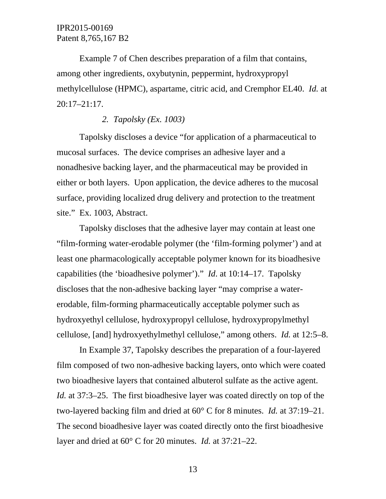Example 7 of Chen describes preparation of a film that contains, among other ingredients, oxybutynin, peppermint, hydroxypropyl methylcellulose (HPMC), aspartame, citric acid, and Cremphor EL40. *Id.* at 20:17–21:17.

### *2. Tapolsky (Ex. 1003)*

Tapolsky discloses a device "for application of a pharmaceutical to mucosal surfaces. The device comprises an adhesive layer and a nonadhesive backing layer, and the pharmaceutical may be provided in either or both layers. Upon application, the device adheres to the mucosal surface, providing localized drug delivery and protection to the treatment site." Ex. 1003, Abstract.

Tapolsky discloses that the adhesive layer may contain at least one "film-forming water-erodable polymer (the 'film-forming polymer') and at least one pharmacologically acceptable polymer known for its bioadhesive capabilities (the 'bioadhesive polymer')." *Id*. at 10:14–17. Tapolsky discloses that the non-adhesive backing layer "may comprise a watererodable, film-forming pharmaceutically acceptable polymer such as hydroxyethyl cellulose, hydroxypropyl cellulose, hydroxypropylmethyl cellulose, [and] hydroxyethylmethyl cellulose," among others. *Id.* at 12:5–8.

In Example 37, Tapolsky describes the preparation of a four-layered film composed of two non-adhesive backing layers, onto which were coated two bioadhesive layers that contained albuterol sulfate as the active agent. *Id.* at 37:3–25. The first bioadhesive layer was coated directly on top of the two-layered backing film and dried at 60° C for 8 minutes. *Id.* at 37:19–21. The second bioadhesive layer was coated directly onto the first bioadhesive layer and dried at 60° C for 20 minutes. *Id.* at 37:21–22.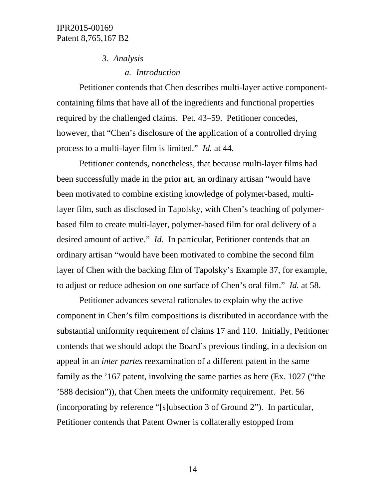#### *3. Analysis*

*a. Introduction* 

Petitioner contends that Chen describes multi-layer active componentcontaining films that have all of the ingredients and functional properties required by the challenged claims. Pet. 43–59. Petitioner concedes, however, that "Chen's disclosure of the application of a controlled drying process to a multi-layer film is limited." *Id.* at 44.

Petitioner contends, nonetheless, that because multi-layer films had been successfully made in the prior art, an ordinary artisan "would have been motivated to combine existing knowledge of polymer-based, multilayer film, such as disclosed in Tapolsky, with Chen's teaching of polymerbased film to create multi-layer, polymer-based film for oral delivery of a desired amount of active." *Id.* In particular, Petitioner contends that an ordinary artisan "would have been motivated to combine the second film layer of Chen with the backing film of Tapolsky's Example 37, for example, to adjust or reduce adhesion on one surface of Chen's oral film." *Id.* at 58.

Petitioner advances several rationales to explain why the active component in Chen's film compositions is distributed in accordance with the substantial uniformity requirement of claims 17 and 110. Initially, Petitioner contends that we should adopt the Board's previous finding, in a decision on appeal in an *inter partes* reexamination of a different patent in the same family as the '167 patent, involving the same parties as here (Ex. 1027 ("the '588 decision")), that Chen meets the uniformity requirement. Pet. 56 (incorporating by reference "[s]ubsection 3 of Ground 2"). In particular, Petitioner contends that Patent Owner is collaterally estopped from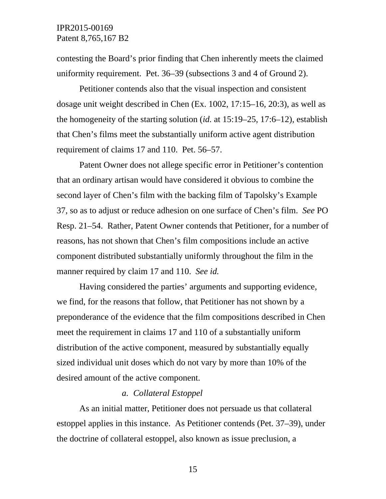contesting the Board's prior finding that Chen inherently meets the claimed uniformity requirement.Pet. 36–39 (subsections 3 and 4 of Ground 2).

Petitioner contends also that the visual inspection and consistent dosage unit weight described in Chen (Ex. 1002, 17:15–16, 20:3), as well as the homogeneity of the starting solution (*id.* at 15:19–25, 17:6–12), establish that Chen's films meet the substantially uniform active agent distribution requirement of claims 17 and 110. Pet. 56–57.

Patent Owner does not allege specific error in Petitioner's contention that an ordinary artisan would have considered it obvious to combine the second layer of Chen's film with the backing film of Tapolsky's Example 37, so as to adjust or reduce adhesion on one surface of Chen's film. *See* PO Resp. 21–54. Rather, Patent Owner contends that Petitioner, for a number of reasons, has not shown that Chen's film compositions include an active component distributed substantially uniformly throughout the film in the manner required by claim 17 and 110. *See id.*

Having considered the parties' arguments and supporting evidence, we find, for the reasons that follow, that Petitioner has not shown by a preponderance of the evidence that the film compositions described in Chen meet the requirement in claims 17 and 110 of a substantially uniform distribution of the active component, measured by substantially equally sized individual unit doses which do not vary by more than 10% of the desired amount of the active component.

#### *a. Collateral Estoppel*

As an initial matter, Petitioner does not persuade us that collateral estoppel applies in this instance. As Petitioner contends (Pet. 37–39), under the doctrine of collateral estoppel, also known as issue preclusion, a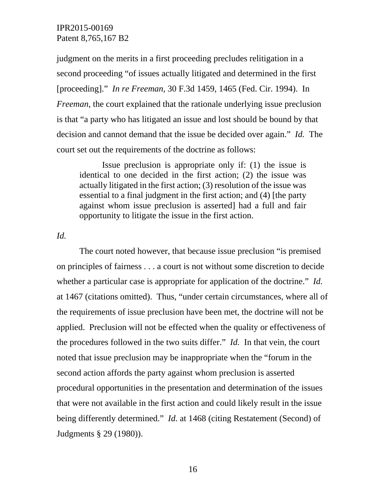judgment on the merits in a first proceeding precludes relitigation in a second proceeding "of issues actually litigated and determined in the first [proceeding]." *In re Freeman*, 30 F.3d 1459, 1465 (Fed. Cir. 1994). In *Freeman*, the court explained that the rationale underlying issue preclusion is that "a party who has litigated an issue and lost should be bound by that decision and cannot demand that the issue be decided over again." *Id.* The court set out the requirements of the doctrine as follows:

Issue preclusion is appropriate only if: (1) the issue is identical to one decided in the first action; (2) the issue was actually litigated in the first action; (3) resolution of the issue was essential to a final judgment in the first action; and (4) [the party against whom issue preclusion is asserted] had a full and fair opportunity to litigate the issue in the first action.

*Id.* 

The court noted however, that because issue preclusion "is premised on principles of fairness . . . a court is not without some discretion to decide whether a particular case is appropriate for application of the doctrine." *Id.* at 1467 (citations omitted). Thus, "under certain circumstances, where all of the requirements of issue preclusion have been met, the doctrine will not be applied. Preclusion will not be effected when the quality or effectiveness of the procedures followed in the two suits differ." *Id.* In that vein, the court noted that issue preclusion may be inappropriate when the "forum in the second action affords the party against whom preclusion is asserted procedural opportunities in the presentation and determination of the issues that were not available in the first action and could likely result in the issue being differently determined." *Id.* at 1468 (citing Restatement (Second) of Judgments § 29 (1980)).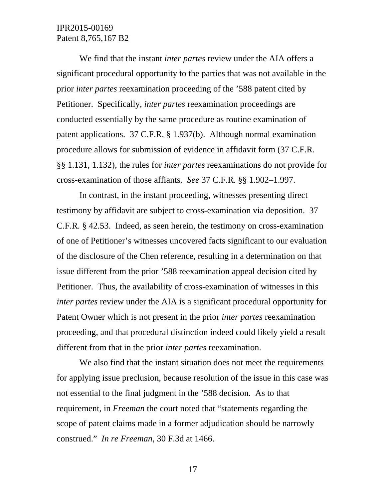We find that the instant *inter partes* review under the AIA offers a significant procedural opportunity to the parties that was not available in the prior *inter partes* reexamination proceeding of the '588 patent cited by Petitioner. Specifically, *inter partes* reexamination proceedings are conducted essentially by the same procedure as routine examination of patent applications. 37 C.F.R. § 1.937(b). Although normal examination procedure allows for submission of evidence in affidavit form (37 C.F.R. §§ 1.131, 1.132), the rules for *inter partes* reexaminations do not provide for cross-examination of those affiants. *See* 37 C.F.R. §§ 1.902–1.997.

In contrast, in the instant proceeding, witnesses presenting direct testimony by affidavit are subject to cross-examination via deposition. 37 C.F.R. § 42.53. Indeed, as seen herein, the testimony on cross-examination of one of Petitioner's witnesses uncovered facts significant to our evaluation of the disclosure of the Chen reference, resulting in a determination on that issue different from the prior '588 reexamination appeal decision cited by Petitioner. Thus, the availability of cross-examination of witnesses in this *inter partes* review under the AIA is a significant procedural opportunity for Patent Owner which is not present in the prior *inter partes* reexamination proceeding, and that procedural distinction indeed could likely yield a result different from that in the prior *inter partes* reexamination.

We also find that the instant situation does not meet the requirements for applying issue preclusion, because resolution of the issue in this case was not essential to the final judgment in the '588 decision. As to that requirement, in *Freeman* the court noted that "statements regarding the scope of patent claims made in a former adjudication should be narrowly construed." *In re Freeman*, 30 F.3d at 1466.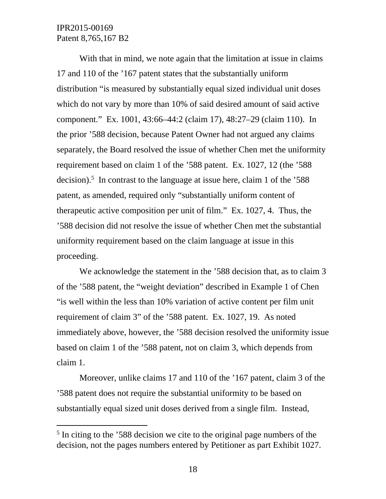-

With that in mind, we note again that the limitation at issue in claims 17 and 110 of the '167 patent states that the substantially uniform distribution "is measured by substantially equal sized individual unit doses which do not vary by more than 10% of said desired amount of said active component." Ex. 1001, 43:66–44:2 (claim 17), 48:27–29 (claim 110). In the prior '588 decision, because Patent Owner had not argued any claims separately, the Board resolved the issue of whether Chen met the uniformity requirement based on claim 1 of the '588 patent. Ex. 1027, 12 (the '588 decision).<sup>5</sup> In contrast to the language at issue here, claim 1 of the '588 patent, as amended, required only "substantially uniform content of therapeutic active composition per unit of film." Ex. 1027, 4. Thus, the '588 decision did not resolve the issue of whether Chen met the substantial uniformity requirement based on the claim language at issue in this proceeding.

We acknowledge the statement in the '588 decision that, as to claim 3 of the '588 patent, the "weight deviation" described in Example 1 of Chen "is well within the less than 10% variation of active content per film unit requirement of claim 3" of the '588 patent. Ex. 1027, 19. As noted immediately above, however, the '588 decision resolved the uniformity issue based on claim 1 of the '588 patent, not on claim 3, which depends from claim 1.

Moreover, unlike claims 17 and 110 of the '167 patent, claim 3 of the '588 patent does not require the substantial uniformity to be based on substantially equal sized unit doses derived from a single film. Instead,

<sup>&</sup>lt;sup>5</sup> In citing to the '588 decision we cite to the original page numbers of the decision, not the pages numbers entered by Petitioner as part Exhibit 1027.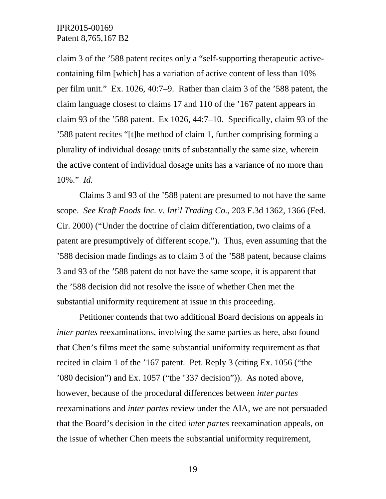claim 3 of the '588 patent recites only a "self-supporting therapeutic activecontaining film [which] has a variation of active content of less than 10% per film unit." Ex. 1026, 40:7–9. Rather than claim 3 of the '588 patent, the claim language closest to claims 17 and 110 of the '167 patent appears in claim 93 of the '588 patent. Ex 1026, 44:7–10. Specifically, claim 93 of the '588 patent recites "[t]he method of claim 1, further comprising forming a plurality of individual dosage units of substantially the same size, wherein the active content of individual dosage units has a variance of no more than 10%." *Id.* 

Claims 3 and 93 of the '588 patent are presumed to not have the same scope. *See Kraft Foods Inc. v. Int'l Trading Co.*, 203 F.3d 1362, 1366 (Fed. Cir. 2000) ("Under the doctrine of claim differentiation, two claims of a patent are presumptively of different scope."). Thus, even assuming that the '588 decision made findings as to claim 3 of the '588 patent, because claims 3 and 93 of the '588 patent do not have the same scope, it is apparent that the '588 decision did not resolve the issue of whether Chen met the substantial uniformity requirement at issue in this proceeding.

Petitioner contends that two additional Board decisions on appeals in *inter partes* reexaminations, involving the same parties as here, also found that Chen's films meet the same substantial uniformity requirement as that recited in claim 1 of the '167 patent. Pet. Reply 3 (citing Ex. 1056 ("the '080 decision") and Ex. 1057 ("the '337 decision")). As noted above, however, because of the procedural differences between *inter partes* reexaminations and *inter partes* review under the AIA, we are not persuaded that the Board's decision in the cited *inter partes* reexamination appeals, on the issue of whether Chen meets the substantial uniformity requirement,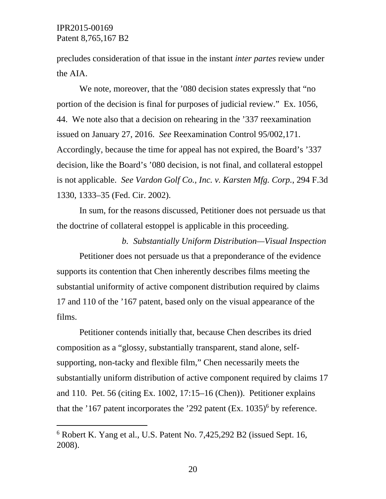-

precludes consideration of that issue in the instant *inter partes* review under the AIA.

We note, moreover, that the '080 decision states expressly that "no portion of the decision is final for purposes of judicial review." Ex. 1056, 44. We note also that a decision on rehearing in the '337 reexamination issued on January 27, 2016. *See* Reexamination Control 95/002,171. Accordingly, because the time for appeal has not expired, the Board's '337 decision, like the Board's '080 decision, is not final, and collateral estoppel is not applicable. *See Vardon Golf Co., Inc. v. Karsten Mfg. Corp.*, 294 F.3d 1330, 1333–35 (Fed. Cir. 2002).

In sum, for the reasons discussed, Petitioner does not persuade us that the doctrine of collateral estoppel is applicable in this proceeding.

*b. Substantially Uniform Distribution—Visual Inspection* Petitioner does not persuade us that a preponderance of the evidence supports its contention that Chen inherently describes films meeting the substantial uniformity of active component distribution required by claims 17 and 110 of the '167 patent, based only on the visual appearance of the films.

Petitioner contends initially that, because Chen describes its dried composition as a "glossy, substantially transparent, stand alone, selfsupporting, non-tacky and flexible film," Chen necessarily meets the substantially uniform distribution of active component required by claims 17 and 110. Pet. 56 (citing Ex. 1002, 17:15–16 (Chen)). Petitioner explains that the '167 patent incorporates the '292 patent  $(Ex. 1035)^6$  by reference.

<sup>6</sup> Robert K. Yang et al., U.S. Patent No. 7,425,292 B2 (issued Sept. 16, 2008).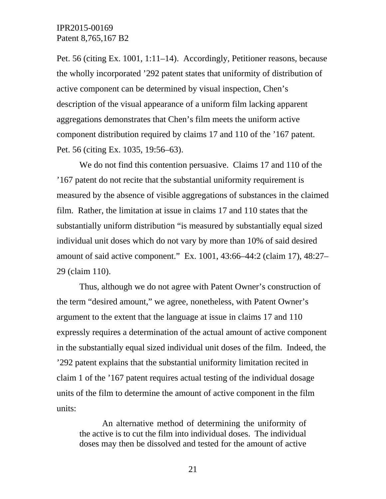Pet. 56 (citing Ex. 1001, 1:11–14). Accordingly, Petitioner reasons, because the wholly incorporated '292 patent states that uniformity of distribution of active component can be determined by visual inspection, Chen's description of the visual appearance of a uniform film lacking apparent aggregations demonstrates that Chen's film meets the uniform active component distribution required by claims 17 and 110 of the '167 patent. Pet. 56 (citing Ex. 1035, 19:56–63).

We do not find this contention persuasive. Claims 17 and 110 of the '167 patent do not recite that the substantial uniformity requirement is measured by the absence of visible aggregations of substances in the claimed film. Rather, the limitation at issue in claims 17 and 110 states that the substantially uniform distribution "is measured by substantially equal sized individual unit doses which do not vary by more than 10% of said desired amount of said active component." Ex. 1001, 43:66–44:2 (claim 17), 48:27– 29 (claim 110).

Thus, although we do not agree with Patent Owner's construction of the term "desired amount," we agree, nonetheless, with Patent Owner's argument to the extent that the language at issue in claims 17 and 110 expressly requires a determination of the actual amount of active component in the substantially equal sized individual unit doses of the film. Indeed, the '292 patent explains that the substantial uniformity limitation recited in claim 1 of the '167 patent requires actual testing of the individual dosage units of the film to determine the amount of active component in the film units:

An alternative method of determining the uniformity of the active is to cut the film into individual doses. The individual doses may then be dissolved and tested for the amount of active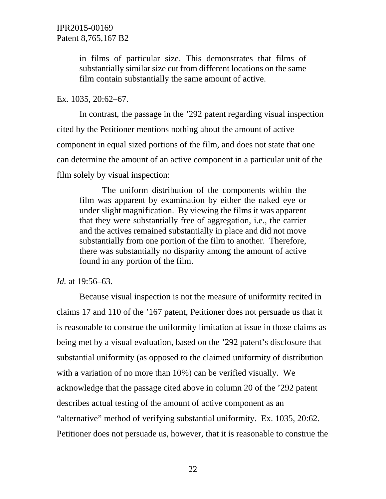in films of particular size. This demonstrates that films of substantially similar size cut from different locations on the same film contain substantially the same amount of active.

#### Ex. 1035, 20:62–67.

In contrast, the passage in the '292 patent regarding visual inspection cited by the Petitioner mentions nothing about the amount of active component in equal sized portions of the film, and does not state that one can determine the amount of an active component in a particular unit of the film solely by visual inspection:

The uniform distribution of the components within the film was apparent by examination by either the naked eye or under slight magnification. By viewing the films it was apparent that they were substantially free of aggregation, i.e., the carrier and the actives remained substantially in place and did not move substantially from one portion of the film to another. Therefore, there was substantially no disparity among the amount of active found in any portion of the film.

#### *Id.* at 19:56–63.

Because visual inspection is not the measure of uniformity recited in claims 17 and 110 of the '167 patent, Petitioner does not persuade us that it is reasonable to construe the uniformity limitation at issue in those claims as being met by a visual evaluation, based on the '292 patent's disclosure that substantial uniformity (as opposed to the claimed uniformity of distribution with a variation of no more than 10%) can be verified visually. We acknowledge that the passage cited above in column 20 of the '292 patent describes actual testing of the amount of active component as an "alternative" method of verifying substantial uniformity. Ex. 1035, 20:62. Petitioner does not persuade us, however, that it is reasonable to construe the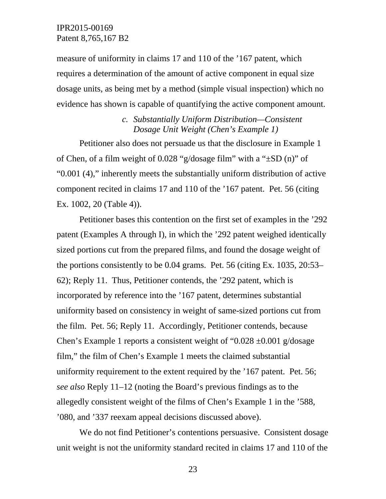measure of uniformity in claims 17 and 110 of the '167 patent, which requires a determination of the amount of active component in equal size dosage units, as being met by a method (simple visual inspection) which no evidence has shown is capable of quantifying the active component amount.

> *c. Substantially Uniform Distribution—Consistent Dosage Unit Weight (Chen's Example 1)*

Petitioner also does not persuade us that the disclosure in Example 1 of Chen, of a film weight of 0.028 "g/dosage film" with a "±SD (n)" of "0.001 (4)," inherently meets the substantially uniform distribution of active component recited in claims 17 and 110 of the '167 patent. Pet. 56 (citing Ex. 1002, 20 (Table 4)).

Petitioner bases this contention on the first set of examples in the '292 patent (Examples A through I), in which the '292 patent weighed identically sized portions cut from the prepared films, and found the dosage weight of the portions consistently to be 0.04 grams. Pet. 56 (citing Ex. 1035, 20:53– 62); Reply 11. Thus, Petitioner contends, the '292 patent, which is incorporated by reference into the '167 patent, determines substantial uniformity based on consistency in weight of same-sized portions cut from the film. Pet. 56; Reply 11. Accordingly, Petitioner contends, because Chen's Example 1 reports a consistent weight of "0.028  $\pm$ 0.001 g/dosage film," the film of Chen's Example 1 meets the claimed substantial uniformity requirement to the extent required by the '167 patent. Pet. 56; *see also* Reply 11–12 (noting the Board's previous findings as to the allegedly consistent weight of the films of Chen's Example 1 in the '588, '080, and '337 reexam appeal decisions discussed above).

We do not find Petitioner's contentions persuasive. Consistent dosage unit weight is not the uniformity standard recited in claims 17 and 110 of the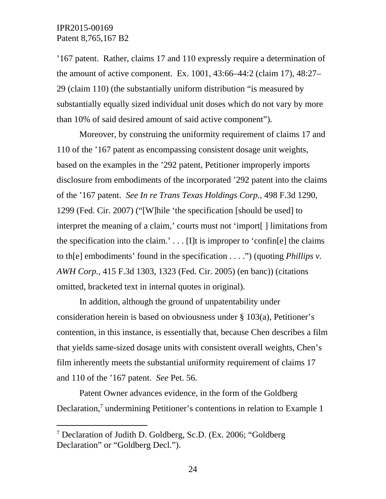-

'167 patent. Rather, claims 17 and 110 expressly require a determination of the amount of active component. Ex. 1001, 43:66–44:2 (claim 17), 48:27– 29 (claim 110) (the substantially uniform distribution "is measured by substantially equally sized individual unit doses which do not vary by more than 10% of said desired amount of said active component").

Moreover, by construing the uniformity requirement of claims 17 and 110 of the '167 patent as encompassing consistent dosage unit weights, based on the examples in the '292 patent, Petitioner improperly imports disclosure from embodiments of the incorporated '292 patent into the claims of the '167 patent. *See In re Trans Texas Holdings Corp.*, 498 F.3d 1290, 1299 (Fed. Cir. 2007) ("[W]hile 'the specification [should be used] to interpret the meaning of a claim,' courts must not 'import[ ] limitations from the specification into the claim.'  $\ldots$  [I]t is improper to 'confin[e] the claims to th[e] embodiments' found in the specification . . . .") (quoting *Phillips v. AWH Corp.,* 415 F.3d 1303, 1323 (Fed. Cir. 2005) (en banc)) (citations omitted, bracketed text in internal quotes in original).

In addition, although the ground of unpatentability under consideration herein is based on obviousness under § 103(a), Petitioner's contention, in this instance, is essentially that, because Chen describes a film that yields same-sized dosage units with consistent overall weights, Chen's film inherently meets the substantial uniformity requirement of claims 17 and 110 of the '167 patent. *See* Pet. 56.

Patent Owner advances evidence, in the form of the Goldberg Declaration,<sup>7</sup> undermining Petitioner's contentions in relation to Example 1

<sup>7</sup> Declaration of Judith D. Goldberg, Sc.D. (Ex. 2006; "Goldberg Declaration" or "Goldberg Decl.").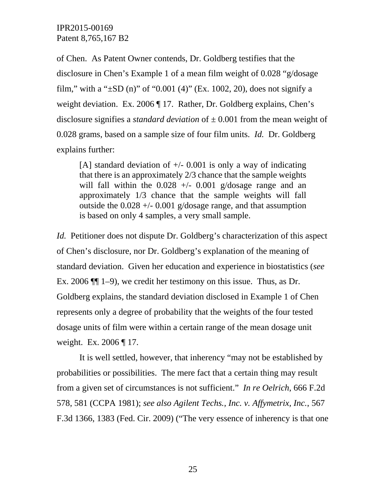of Chen. As Patent Owner contends, Dr. Goldberg testifies that the disclosure in Chen's Example 1 of a mean film weight of 0.028 "g/dosage film," with a " $\pm$ SD (n)" of "0.001 (4)" (Ex. 1002, 20), does not signify a weight deviation. Ex. 2006 ¶ 17. Rather, Dr. Goldberg explains, Chen's disclosure signifies a *standard deviation* of  $\pm$  0.001 from the mean weight of 0.028 grams, based on a sample size of four film units. *Id.* Dr. Goldberg explains further:

[A] standard deviation of  $+/-$  0.001 is only a way of indicating that there is an approximately 2/3 chance that the sample weights will fall within the  $0.028 +/- 0.001$  g/dosage range and an approximately 1/3 chance that the sample weights will fall outside the  $0.028 +/- 0.001$  g/dosage range, and that assumption is based on only 4 samples, a very small sample.

*Id.* Petitioner does not dispute Dr. Goldberg's characterization of this aspect of Chen's disclosure, nor Dr. Goldberg's explanation of the meaning of standard deviation. Given her education and experience in biostatistics (*see*  Ex. 2006 ¶¶ 1–9), we credit her testimony on this issue. Thus, as Dr. Goldberg explains, the standard deviation disclosed in Example 1 of Chen represents only a degree of probability that the weights of the four tested dosage units of film were within a certain range of the mean dosage unit weight. Ex. 2006 ¶ 17.

It is well settled, however, that inherency "may not be established by probabilities or possibilities. The mere fact that a certain thing may result from a given set of circumstances is not sufficient." *In re Oelrich*, 666 F.2d 578, 581 (CCPA 1981); *see also Agilent Techs., Inc. v. Affymetrix, Inc.*, 567 F.3d 1366, 1383 (Fed. Cir. 2009) ("The very essence of inherency is that one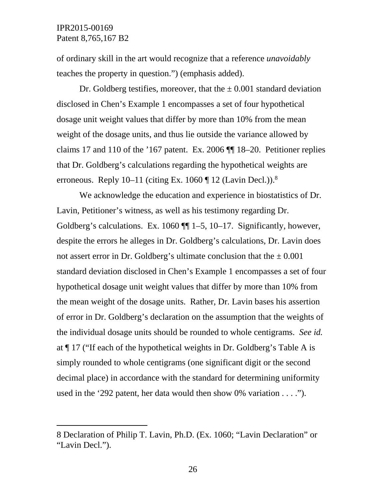$\overline{a}$ 

of ordinary skill in the art would recognize that a reference *unavoidably* teaches the property in question.") (emphasis added).

Dr. Goldberg testifies, moreover, that the  $\pm 0.001$  standard deviation disclosed in Chen's Example 1 encompasses a set of four hypothetical dosage unit weight values that differ by more than 10% from the mean weight of the dosage units, and thus lie outside the variance allowed by claims 17 and 110 of the '167 patent. Ex. 2006 ¶¶ 18–20. Petitioner replies that Dr. Goldberg's calculations regarding the hypothetical weights are erroneous. Reply  $10-11$  (citing Ex. 1060 ¶ 12 (Lavin Decl.)).<sup>8</sup>

We acknowledge the education and experience in biostatistics of Dr. Lavin, Petitioner's witness, as well as his testimony regarding Dr. Goldberg's calculations. Ex. 1060 ¶¶ 1–5, 10–17. Significantly, however, despite the errors he alleges in Dr. Goldberg's calculations, Dr. Lavin does not assert error in Dr. Goldberg's ultimate conclusion that the  $\pm 0.001$ standard deviation disclosed in Chen's Example 1 encompasses a set of four hypothetical dosage unit weight values that differ by more than 10% from the mean weight of the dosage units. Rather, Dr. Lavin bases his assertion of error in Dr. Goldberg's declaration on the assumption that the weights of the individual dosage units should be rounded to whole centigrams. *See id.* at ¶ 17 ("If each of the hypothetical weights in Dr. Goldberg's Table A is simply rounded to whole centigrams (one significant digit or the second decimal place) in accordance with the standard for determining uniformity used in the '292 patent, her data would then show 0% variation . . . .").

<sup>8</sup> Declaration of Philip T. Lavin, Ph.D. (Ex. 1060; "Lavin Declaration" or "Lavin Decl.").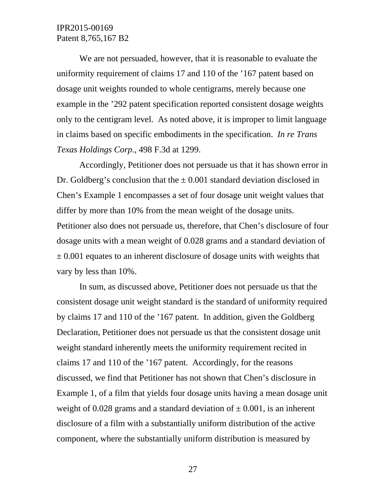We are not persuaded, however, that it is reasonable to evaluate the uniformity requirement of claims 17 and 110 of the '167 patent based on dosage unit weights rounded to whole centigrams, merely because one example in the '292 patent specification reported consistent dosage weights only to the centigram level. As noted above, it is improper to limit language in claims based on specific embodiments in the specification. *In re Trans Texas Holdings Corp.*, 498 F.3d at 1299.

Accordingly, Petitioner does not persuade us that it has shown error in Dr. Goldberg's conclusion that the  $\pm$  0.001 standard deviation disclosed in Chen's Example 1 encompasses a set of four dosage unit weight values that differ by more than 10% from the mean weight of the dosage units. Petitioner also does not persuade us, therefore, that Chen's disclosure of four dosage units with a mean weight of 0.028 grams and a standard deviation of  $\pm$  0.001 equates to an inherent disclosure of dosage units with weights that vary by less than 10%.

In sum, as discussed above, Petitioner does not persuade us that the consistent dosage unit weight standard is the standard of uniformity required by claims 17 and 110 of the '167 patent. In addition, given the Goldberg Declaration, Petitioner does not persuade us that the consistent dosage unit weight standard inherently meets the uniformity requirement recited in claims 17 and 110 of the '167 patent. Accordingly, for the reasons discussed, we find that Petitioner has not shown that Chen's disclosure in Example 1, of a film that yields four dosage units having a mean dosage unit weight of 0.028 grams and a standard deviation of  $\pm$  0.001, is an inherent disclosure of a film with a substantially uniform distribution of the active component, where the substantially uniform distribution is measured by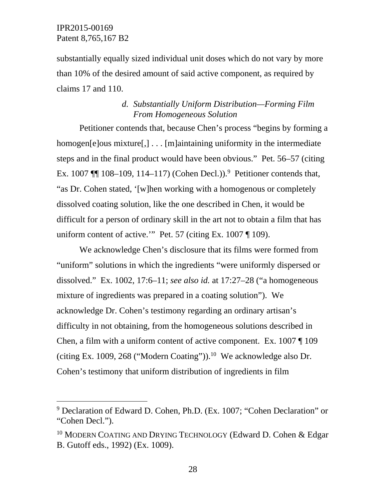-

substantially equally sized individual unit doses which do not vary by more than 10% of the desired amount of said active component, as required by claims 17 and 110.

## *d. Substantially Uniform Distribution—Forming Film From Homogeneous Solution*

Petitioner contends that, because Chen's process "begins by forming a homogen[e]ous mixture[,] . . . [m]aintaining uniformity in the intermediate steps and in the final product would have been obvious." Pet. 56–57 (citing Ex. 1007  $\P$  108–109, 114–117) (Cohen Decl.)).<sup>9</sup> Petitioner contends that, "as Dr. Cohen stated, '[w]hen working with a homogenous or completely dissolved coating solution, like the one described in Chen, it would be difficult for a person of ordinary skill in the art not to obtain a film that has uniform content of active." Pet. 57 (citing Ex. 1007 ¶ 109).

We acknowledge Chen's disclosure that its films were formed from "uniform" solutions in which the ingredients "were uniformly dispersed or dissolved." Ex. 1002, 17:6–11; *see also id.* at 17:27–28 ("a homogeneous mixture of ingredients was prepared in a coating solution"). We acknowledge Dr. Cohen's testimony regarding an ordinary artisan's difficulty in not obtaining, from the homogeneous solutions described in Chen, a film with a uniform content of active component. Ex. 1007 ¶ 109 (citing Ex. 1009, 268 ("Modern Coating")).<sup>10</sup> We acknowledge also Dr. Cohen's testimony that uniform distribution of ingredients in film

<sup>&</sup>lt;sup>9</sup> Declaration of Edward D. Cohen, Ph.D. (Ex. 1007; "Cohen Declaration" or "Cohen Decl.").

<sup>&</sup>lt;sup>10</sup> MODERN COATING AND DRYING TECHNOLOGY (Edward D. Cohen & Edgar B. Gutoff eds., 1992) (Ex. 1009).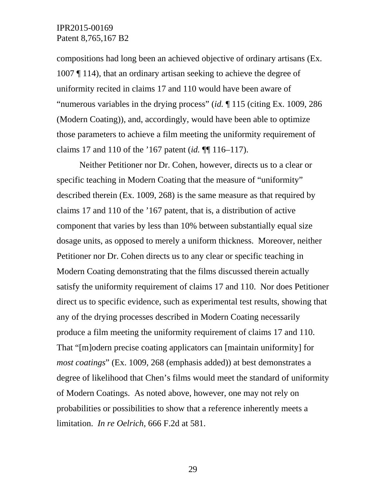compositions had long been an achieved objective of ordinary artisans (Ex. 1007 ¶ 114), that an ordinary artisan seeking to achieve the degree of uniformity recited in claims 17 and 110 would have been aware of "numerous variables in the drying process" (*id.* ¶ 115 (citing Ex. 1009, 286 (Modern Coating)), and, accordingly, would have been able to optimize those parameters to achieve a film meeting the uniformity requirement of claims 17 and 110 of the '167 patent (*id.* ¶¶ 116–117).

Neither Petitioner nor Dr. Cohen, however, directs us to a clear or specific teaching in Modern Coating that the measure of "uniformity" described therein (Ex. 1009, 268) is the same measure as that required by claims 17 and 110 of the '167 patent, that is, a distribution of active component that varies by less than 10% between substantially equal size dosage units, as opposed to merely a uniform thickness. Moreover, neither Petitioner nor Dr. Cohen directs us to any clear or specific teaching in Modern Coating demonstrating that the films discussed therein actually satisfy the uniformity requirement of claims 17 and 110. Nor does Petitioner direct us to specific evidence, such as experimental test results, showing that any of the drying processes described in Modern Coating necessarily produce a film meeting the uniformity requirement of claims 17 and 110. That "[m]odern precise coating applicators can [maintain uniformity] for *most coatings*" (Ex. 1009, 268 (emphasis added)) at best demonstrates a degree of likelihood that Chen's films would meet the standard of uniformity of Modern Coatings. As noted above, however, one may not rely on probabilities or possibilities to show that a reference inherently meets a limitation. *In re Oelrich*, 666 F.2d at 581.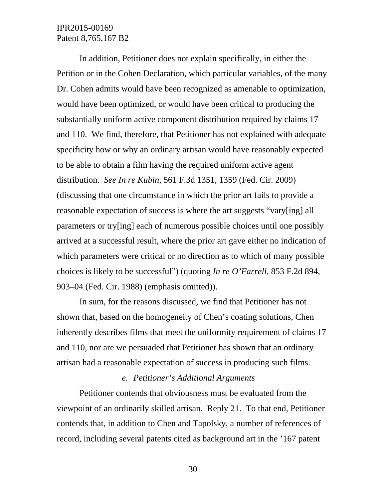In addition, Petitioner does not explain specifically, in either the Petition or in the Cohen Declaration, which particular variables, of the many Dr. Cohen admits would have been recognized as amenable to optimization, would have been optimized, or would have been critical to producing the substantially uniform active component distribution required by claims 17 and 110. We find, therefore, that Petitioner has not explained with adequate specificity how or why an ordinary artisan would have reasonably expected to be able to obtain a film having the required uniform active agent distribution. *See In re Kubin*, 561 F.3d 1351, 1359 (Fed. Cir. 2009) (discussing that one circumstance in which the prior art fails to provide a reasonable expectation of success is where the art suggests "vary[ing] all parameters or try[ing] each of numerous possible choices until one possibly arrived at a successful result, where the prior art gave either no indication of which parameters were critical or no direction as to which of many possible choices is likely to be successful") (quoting *In re O'Farrell*, 853 F.2d 894, 903–04 (Fed. Cir. 1988) (emphasis omitted)).

In sum, for the reasons discussed, we find that Petitioner has not shown that, based on the homogeneity of Chen's coating solutions, Chen inherently describes films that meet the uniformity requirement of claims 17 and 110, nor are we persuaded that Petitioner has shown that an ordinary artisan had a reasonable expectation of success in producing such films.

### *e. Petitioner's Additional Arguments*

Petitioner contends that obviousness must be evaluated from the viewpoint of an ordinarily skilled artisan. Reply 21. To that end, Petitioner contends that, in addition to Chen and Tapolsky, a number of references of record, including several patents cited as background art in the '167 patent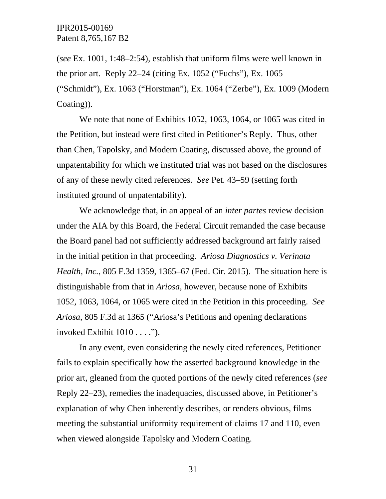(*see* Ex. 1001, 1:48–2:54), establish that uniform films were well known in the prior art. Reply 22–24 (citing Ex. 1052 ("Fuchs"), Ex. 1065 ("Schmidt"), Ex. 1063 ("Horstman"), Ex. 1064 ("Zerbe"), Ex. 1009 (Modern Coating)).

We note that none of Exhibits 1052, 1063, 1064, or 1065 was cited in the Petition, but instead were first cited in Petitioner's Reply. Thus, other than Chen, Tapolsky, and Modern Coating, discussed above, the ground of unpatentability for which we instituted trial was not based on the disclosures of any of these newly cited references. *See* Pet. 43–59 (setting forth instituted ground of unpatentability).

We acknowledge that, in an appeal of an *inter partes* review decision under the AIA by this Board, the Federal Circuit remanded the case because the Board panel had not sufficiently addressed background art fairly raised in the initial petition in that proceeding. *Ariosa Diagnostics v. Verinata Health, Inc.*, 805 F.3d 1359, 1365–67 (Fed. Cir. 2015). The situation here is distinguishable from that in *Ariosa*, however, because none of Exhibits 1052, 1063, 1064, or 1065 were cited in the Petition in this proceeding. *See Ariosa*, 805 F.3d at 1365 ("Ariosa's Petitions and opening declarations invoked Exhibit 1010 . . . .").

In any event, even considering the newly cited references, Petitioner fails to explain specifically how the asserted background knowledge in the prior art, gleaned from the quoted portions of the newly cited references (*see*  Reply 22–23), remedies the inadequacies, discussed above, in Petitioner's explanation of why Chen inherently describes, or renders obvious, films meeting the substantial uniformity requirement of claims 17 and 110, even when viewed alongside Tapolsky and Modern Coating.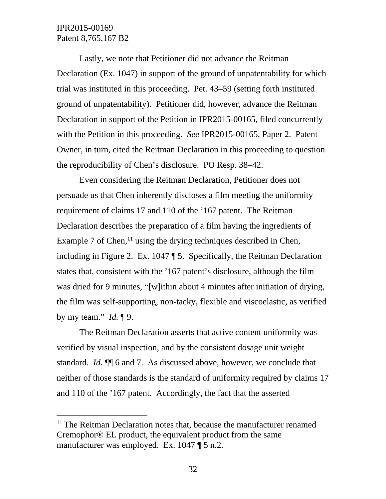-

Lastly, we note that Petitioner did not advance the Reitman Declaration (Ex. 1047) in support of the ground of unpatentability for which trial was instituted in this proceeding. Pet. 43–59 (setting forth instituted ground of unpatentability). Petitioner did, however, advance the Reitman Declaration in support of the Petition in IPR2015-00165, filed concurrently with the Petition in this proceeding. *See* IPR2015-00165, Paper 2. Patent Owner, in turn, cited the Reitman Declaration in this proceeding to question the reproducibility of Chen's disclosure. PO Resp. 38–42.

Even considering the Reitman Declaration, Petitioner does not persuade us that Chen inherently discloses a film meeting the uniformity requirement of claims 17 and 110 of the '167 patent. The Reitman Declaration describes the preparation of a film having the ingredients of Example 7 of Chen,  $\frac{11}{11}$  using the drying techniques described in Chen, including in Figure 2. Ex. 1047 ¶ 5. Specifically, the Reitman Declaration states that, consistent with the '167 patent's disclosure, although the film was dried for 9 minutes, "[w]ithin about 4 minutes after initiation of drying, the film was self-supporting, non-tacky, flexible and viscoelastic, as verified by my team." *Id.* ¶ 9.

The Reitman Declaration asserts that active content uniformity was verified by visual inspection, and by the consistent dosage unit weight standard. *Id.* ¶¶ 6 and 7. As discussed above, however, we conclude that neither of those standards is the standard of uniformity required by claims 17 and 110 of the '167 patent. Accordingly, the fact that the asserted

 $11$  The Reitman Declaration notes that, because the manufacturer renamed Cremophor® EL product, the equivalent product from the same manufacturer was employed. Ex. 1047 ¶ 5 n.2.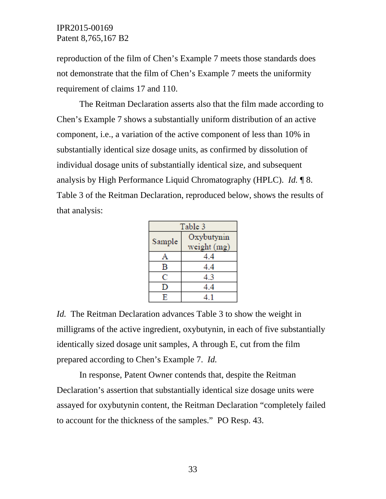reproduction of the film of Chen's Example 7 meets those standards does not demonstrate that the film of Chen's Example 7 meets the uniformity requirement of claims 17 and 110.

The Reitman Declaration asserts also that the film made according to Chen's Example 7 shows a substantially uniform distribution of an active component, i.e., a variation of the active component of less than 10% in substantially identical size dosage units, as confirmed by dissolution of individual dosage units of substantially identical size, and subsequent analysis by High Performance Liquid Chromatography (HPLC). *Id.* ¶ 8. Table 3 of the Reitman Declaration, reproduced below, shows the results of that analysis:

| Table 3                 |               |
|-------------------------|---------------|
| Sample                  | Oxybutynin    |
|                         | weight $(mg)$ |
| A                       | 4.4           |
| B                       | 4.4           |
| C                       | 4.3           |
| D                       | 4.4           |
| $\overline{\mathbf{E}}$ | 41            |

*Id.* The Reitman Declaration advances Table 3 to show the weight in milligrams of the active ingredient, oxybutynin, in each of five substantially identically sized dosage unit samples, A through E, cut from the film prepared according to Chen's Example 7. *Id.*

 In response, Patent Owner contends that, despite the Reitman Declaration's assertion that substantially identical size dosage units were assayed for oxybutynin content, the Reitman Declaration "completely failed to account for the thickness of the samples." PO Resp. 43.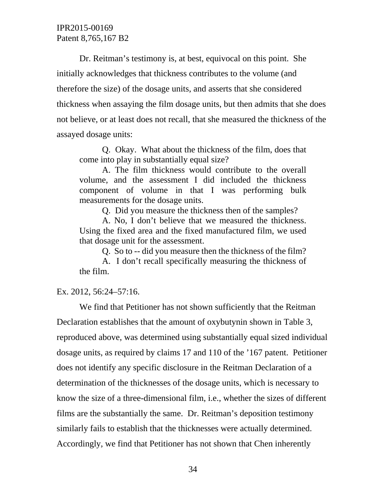Dr. Reitman's testimony is, at best, equivocal on this point. She initially acknowledges that thickness contributes to the volume (and therefore the size) of the dosage units, and asserts that she considered thickness when assaying the film dosage units, but then admits that she does not believe, or at least does not recall, that she measured the thickness of the assayed dosage units:

Q. Okay. What about the thickness of the film, does that come into play in substantially equal size?

A. The film thickness would contribute to the overall volume, and the assessment I did included the thickness component of volume in that I was performing bulk measurements for the dosage units.

Q. Did you measure the thickness then of the samples?

A. No, I don't believe that we measured the thickness. Using the fixed area and the fixed manufactured film, we used that dosage unit for the assessment.

Q. So to -- did you measure then the thickness of the film?

A. I don't recall specifically measuring the thickness of the film.

#### Ex. 2012, 56:24–57:16.

We find that Petitioner has not shown sufficiently that the Reitman Declaration establishes that the amount of oxybutynin shown in Table 3, reproduced above, was determined using substantially equal sized individual dosage units, as required by claims 17 and 110 of the '167 patent. Petitioner does not identify any specific disclosure in the Reitman Declaration of a determination of the thicknesses of the dosage units, which is necessary to know the size of a three-dimensional film, i.e., whether the sizes of different films are the substantially the same. Dr. Reitman's deposition testimony similarly fails to establish that the thicknesses were actually determined. Accordingly, we find that Petitioner has not shown that Chen inherently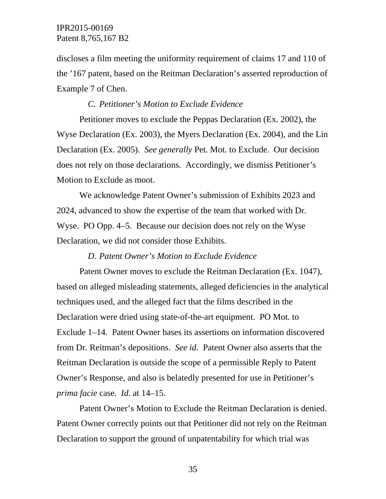discloses a film meeting the uniformity requirement of claims 17 and 110 of the '167 patent, based on the Reitman Declaration's asserted reproduction of Example 7 of Chen.

### *C. Petitioner's Motion to Exclude Evidence*

Petitioner moves to exclude the Peppas Declaration (Ex. 2002), the Wyse Declaration (Ex. 2003), the Myers Declaration (Ex. 2004), and the Lin Declaration (Ex. 2005). *See generally* Pet. Mot. to Exclude. Our decision does not rely on those declarations. Accordingly, we dismiss Petitioner's Motion to Exclude as moot.

We acknowledge Patent Owner's submission of Exhibits 2023 and 2024, advanced to show the expertise of the team that worked with Dr. Wyse. PO Opp. 4–5. Because our decision does not rely on the Wyse Declaration, we did not consider those Exhibits.

#### *D. Patent Owner's Motion to Exclude Evidence*

Patent Owner moves to exclude the Reitman Declaration (Ex. 1047), based on alleged misleading statements, alleged deficiencies in the analytical techniques used, and the alleged fact that the films described in the Declaration were dried using state-of-the-art equipment. PO Mot. to Exclude 1–14. Patent Owner bases its assertions on information discovered from Dr. Reitman's depositions. *See id.* Patent Owner also asserts that the Reitman Declaration is outside the scope of a permissible Reply to Patent Owner's Response, and also is belatedly presented for use in Petitioner's *prima facie* case. *Id*. at 14–15.

Patent Owner's Motion to Exclude the Reitman Declaration is denied. Patent Owner correctly points out that Petitioner did not rely on the Reitman Declaration to support the ground of unpatentability for which trial was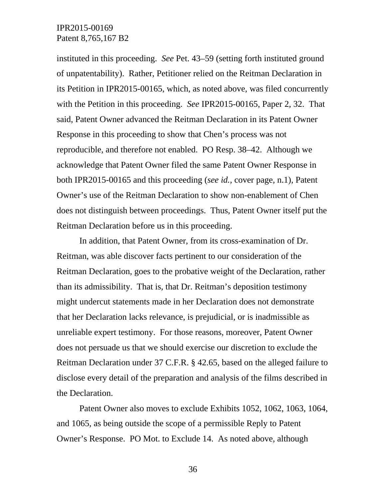instituted in this proceeding. *See* Pet. 43–59 (setting forth instituted ground of unpatentability). Rather, Petitioner relied on the Reitman Declaration in its Petition in IPR2015-00165, which, as noted above, was filed concurrently with the Petition in this proceeding. *See* IPR2015-00165, Paper 2, 32. That said, Patent Owner advanced the Reitman Declaration in its Patent Owner Response in this proceeding to show that Chen's process was not reproducible, and therefore not enabled. PO Resp. 38–42. Although we acknowledge that Patent Owner filed the same Patent Owner Response in both IPR2015-00165 and this proceeding (*see id.*, cover page, n.1), Patent Owner's use of the Reitman Declaration to show non-enablement of Chen does not distinguish between proceedings. Thus, Patent Owner itself put the Reitman Declaration before us in this proceeding.

In addition, that Patent Owner, from its cross-examination of Dr. Reitman, was able discover facts pertinent to our consideration of the Reitman Declaration, goes to the probative weight of the Declaration, rather than its admissibility. That is, that Dr. Reitman's deposition testimony might undercut statements made in her Declaration does not demonstrate that her Declaration lacks relevance, is prejudicial, or is inadmissible as unreliable expert testimony. For those reasons, moreover, Patent Owner does not persuade us that we should exercise our discretion to exclude the Reitman Declaration under 37 C.F.R. § 42.65, based on the alleged failure to disclose every detail of the preparation and analysis of the films described in the Declaration.

Patent Owner also moves to exclude Exhibits 1052, 1062, 1063, 1064, and 1065, as being outside the scope of a permissible Reply to Patent Owner's Response. PO Mot. to Exclude 14. As noted above, although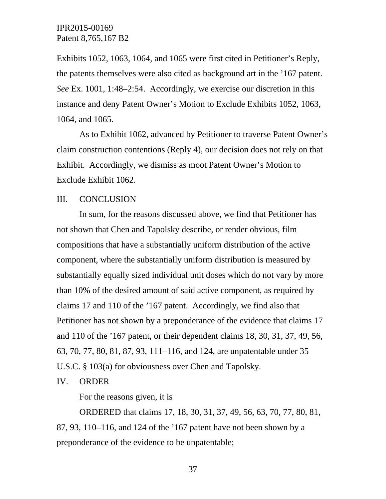Exhibits 1052, 1063, 1064, and 1065 were first cited in Petitioner's Reply, the patents themselves were also cited as background art in the '167 patent. *See* Ex. 1001, 1:48–2:54. Accordingly, we exercise our discretion in this instance and deny Patent Owner's Motion to Exclude Exhibits 1052, 1063, 1064, and 1065.

As to Exhibit 1062, advanced by Petitioner to traverse Patent Owner's claim construction contentions (Reply 4), our decision does not rely on that Exhibit. Accordingly, we dismiss as moot Patent Owner's Motion to Exclude Exhibit 1062.

#### III. CONCLUSION

In sum, for the reasons discussed above, we find that Petitioner has not shown that Chen and Tapolsky describe, or render obvious, film compositions that have a substantially uniform distribution of the active component, where the substantially uniform distribution is measured by substantially equally sized individual unit doses which do not vary by more than 10% of the desired amount of said active component, as required by claims 17 and 110 of the '167 patent. Accordingly, we find also that Petitioner has not shown by a preponderance of the evidence that claims 17 and 110 of the '167 patent, or their dependent claims 18, 30, 31, 37, 49, 56, 63, 70, 77, 80, 81, 87, 93, 111–116, and 124, are unpatentable under 35 U.S.C. § 103(a) for obviousness over Chen and Tapolsky.

#### IV. ORDER

For the reasons given, it is

ORDERED that claims 17, 18, 30, 31, 37, 49, 56, 63, 70, 77, 80, 81, 87, 93, 110–116, and 124 of the '167 patent have not been shown by a preponderance of the evidence to be unpatentable;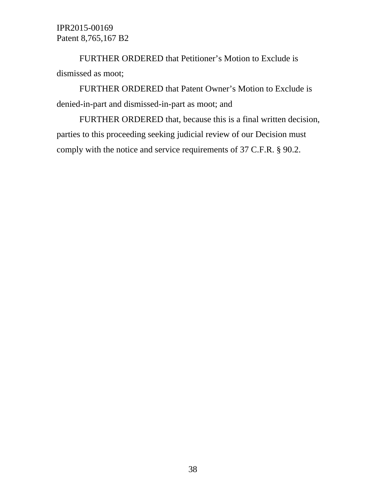FURTHER ORDERED that Petitioner's Motion to Exclude is dismissed as moot;

FURTHER ORDERED that Patent Owner's Motion to Exclude is denied-in-part and dismissed-in-part as moot; and

FURTHER ORDERED that, because this is a final written decision, parties to this proceeding seeking judicial review of our Decision must comply with the notice and service requirements of 37 C.F.R. § 90.2.